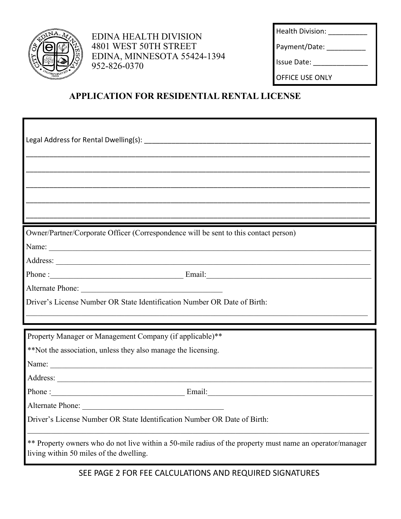

EDINA HEALTH DIVISION 4801 WEST 50TH STREET EDINA, MINNESOTA 55424-1394 952-826-0370

Health Division: \_\_\_\_\_\_\_\_\_\_\_\_ Payment/Date: Issue Date: \_\_\_\_\_\_\_\_\_\_\_\_\_\_

OFFICE USE ONLY

## **APPLICATION FOR RESIDENTIAL RENTAL LICENSE**

| Owner/Partner/Corporate Officer (Correspondence will be sent to this contact person)                                                                |  |
|-----------------------------------------------------------------------------------------------------------------------------------------------------|--|
| Name:                                                                                                                                               |  |
|                                                                                                                                                     |  |
| Phone: Email: Email: Email:                                                                                                                         |  |
|                                                                                                                                                     |  |
| Driver's License Number OR State Identification Number OR Date of Birth:                                                                            |  |
| Property Manager or Management Company (if applicable)**                                                                                            |  |
| **Not the association, unless they also manage the licensing.                                                                                       |  |
| Name:                                                                                                                                               |  |
|                                                                                                                                                     |  |
| Phone: Email: Email:                                                                                                                                |  |
| Alternate Phone:                                                                                                                                    |  |
| Driver's License Number OR State Identification Number OR Date of Birth:                                                                            |  |
| ** Property owners who do not live within a 50-mile radius of the property must name an operator/manager<br>living within 50 miles of the dwelling. |  |

SEE PAGE 2 FOR FEE CALCULATIONS AND REQUIRED SIGNATURES